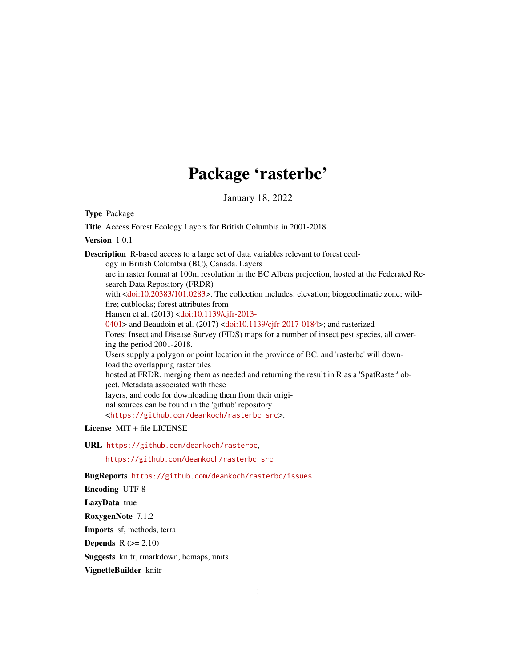# Package 'rasterbc'

January 18, 2022

Type Package

Title Access Forest Ecology Layers for British Columbia in 2001-2018

Version 1.0.1

Description R-based access to a large set of data variables relevant to forest ecology in British Columbia (BC), Canada. Layers are in raster format at 100m resolution in the BC Albers projection, hosted at the Federated Research Data Repository (FRDR) with [<doi:10.20383/101.0283>](https://doi.org/10.20383/101.0283). The collection includes: elevation; biogeoclimatic zone; wildfire; cutblocks; forest attributes from Hansen et al. (2013) [<doi:10.1139/cjfr-2013-](https://doi.org/10.1139/cjfr-2013-0401) [0401>](https://doi.org/10.1139/cjfr-2013-0401) and Beaudoin et al. (2017) [<doi:10.1139/cjfr-2017-0184>](https://doi.org/10.1139/cjfr-2017-0184); and rasterized Forest Insect and Disease Survey (FIDS) maps for a number of insect pest species, all covering the period 2001-2018. Users supply a polygon or point location in the province of BC, and 'rasterbc' will download the overlapping raster tiles hosted at FRDR, merging them as needed and returning the result in R as a 'SpatRaster' object. Metadata associated with these layers, and code for downloading them from their original sources can be found in the 'github' repository <[https://github.com/deankoch/rasterbc\\_src](https://github.com/deankoch/rasterbc_src)>.

License MIT + file LICENSE

URL <https://github.com/deankoch/rasterbc>,

[https://github.com/deankoch/rasterbc\\_src](https://github.com/deankoch/rasterbc_src)

BugReports <https://github.com/deankoch/rasterbc/issues>

Encoding UTF-8

LazyData true

RoxygenNote 7.1.2

Imports sf, methods, terra

**Depends**  $R (=2.10)$ 

Suggests knitr, rmarkdown, bcmaps, units

VignetteBuilder knitr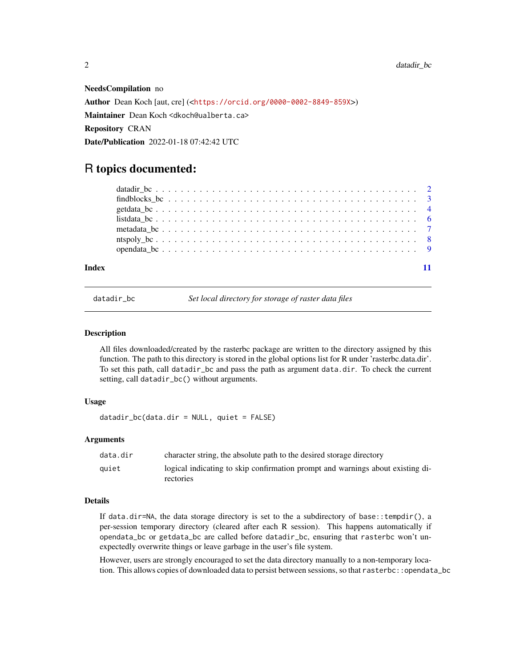<span id="page-1-0"></span>NeedsCompilation no Author Dean Koch [aut, cre] (<<https://orcid.org/0000-0002-8849-859X>>) Maintainer Dean Koch <dkoch@ualberta.ca> Repository CRAN Date/Publication 2022-01-18 07:42:42 UTC

## R topics documented:

| Index |  |  |  |  |  |  |  |  |  |  |  |  |  |  |  |  |  |  |
|-------|--|--|--|--|--|--|--|--|--|--|--|--|--|--|--|--|--|--|

<span id="page-1-1"></span>

datadir\_bc *Set local directory for storage of raster data files*

#### Description

All files downloaded/created by the rasterbc package are written to the directory assigned by this function. The path to this directory is stored in the global options list for R under 'rasterbc.data.dir'. To set this path, call datadir\_bc and pass the path as argument data.dir. To check the current setting, call datadir\_bc() without arguments.

#### Usage

datadir\_bc(data.dir = NULL, quiet = FALSE)

#### Arguments

| data.dir | character string, the absolute path to the desired storage directory           |
|----------|--------------------------------------------------------------------------------|
| auiet    | logical indicating to skip confirmation prompt and warnings about existing di- |
|          | rectories                                                                      |

#### Details

If data.dir=NA, the data storage directory is set to the a subdirectory of base::tempdir(), a per-session temporary directory (cleared after each R session). This happens automatically if opendata\_bc or getdata\_bc are called before datadir\_bc, ensuring that rasterbc won't unexpectedly overwrite things or leave garbage in the user's file system.

However, users are strongly encouraged to set the data directory manually to a non-temporary location. This allows copies of downloaded data to persist between sessions, so that rasterbc::opendata\_bc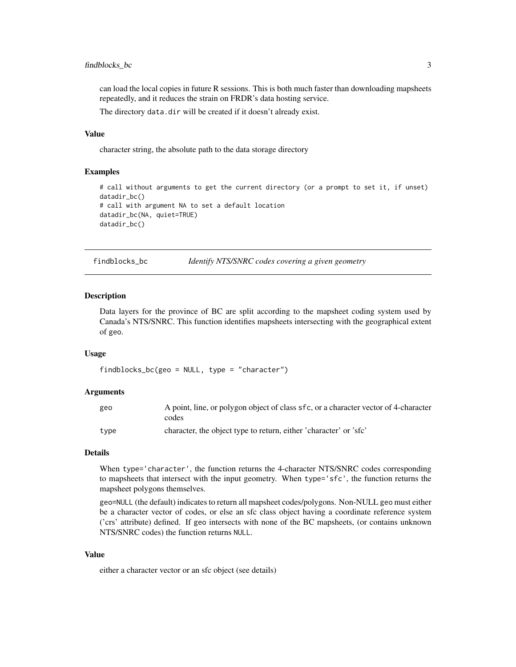#### <span id="page-2-0"></span>findblocks\_bc 3

can load the local copies in future R sessions. This is both much faster than downloading mapsheets repeatedly, and it reduces the strain on FRDR's data hosting service.

The directory data.dir will be created if it doesn't already exist.

#### Value

character string, the absolute path to the data storage directory

#### Examples

```
# call without arguments to get the current directory (or a prompt to set it, if unset)
datadir_bc()
# call with argument NA to set a default location
datadir_bc(NA, quiet=TRUE)
datadir_bc()
```
<span id="page-2-1"></span>findblocks\_bc *Identify NTS/SNRC codes covering a given geometry*

#### Description

Data layers for the province of BC are split according to the mapsheet coding system used by Canada's NTS/SNRC. This function identifies mapsheets intersecting with the geographical extent of geo.

#### Usage

findblocks\_bc(geo = NULL, type = "character")

#### Arguments

| geo  | A point, line, or polygon object of class sfc, or a character vector of 4-character<br>codes |
|------|----------------------------------------------------------------------------------------------|
| tvpe | character, the object type to return, either 'character' or 'sfc'                            |

#### Details

When type='character', the function returns the 4-character NTS/SNRC codes corresponding to mapsheets that intersect with the input geometry. When type='sfc', the function returns the mapsheet polygons themselves.

geo=NULL (the default) indicates to return all mapsheet codes/polygons. Non-NULL geo must either be a character vector of codes, or else an sfc class object having a coordinate reference system ('crs' attribute) defined. If geo intersects with none of the BC mapsheets, (or contains unknown NTS/SNRC codes) the function returns NULL.

#### Value

either a character vector or an sfc object (see details)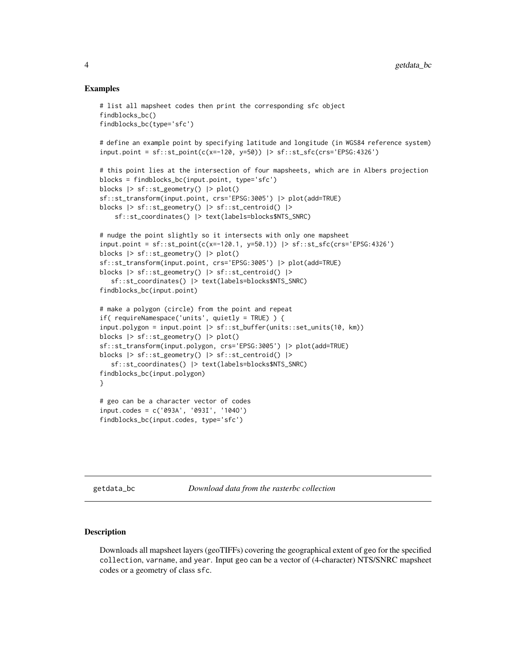#### Examples

```
# list all mapsheet codes then print the corresponding sfc object
findblocks_bc()
findblocks_bc(type='sfc')
# define an example point by specifying latitude and longitude (in WGS84 reference system)
input.point = sf::st\_point(c(x=-120, y=50)) \geq sf::st\_sfc(crs='EPSG:4326')# this point lies at the intersection of four mapsheets, which are in Albers projection
blocks = findblocks_bc(input.point, type='sfc')
blocks |> sf::st_geometry() |> plot()
sf::st_transform(input.point, crs='EPSG:3005') |> plot(add=TRUE)
blocks |> sf::st_geometry() |> sf::st_centroid() |>
    sf::st_coordinates() |> text(labels=blocks$NTS_SNRC)
# nudge the point slightly so it intersects with only one mapsheet
input.point = sf::st_point(c(x=-120.1, y=50.1)) |> sf::st_sfc(crs='EPSG:4326')
blocks |> sf::st_geometry() |> plot()
sf::st_transform(input.point, crs='EPSG:3005') |> plot(add=TRUE)
blocks |> sf::st_geometry() |> sf::st_centroid() |>
   sf::st_coordinates() |> text(labels=blocks$NTS_SNRC)
findblocks_bc(input.point)
# make a polygon (circle) from the point and repeat
if( requireNamespace('units', quietly = TRUE) ) {
input.polygon = input.point |> sf::st_buffer(units::set_units(10, km))
blocks |> sf::st_geometry() |> plot()
sf::st_transform(input.polygon, crs='EPSG:3005') |> plot(add=TRUE)
blocks |> sf::st_geometry() |> sf::st_centroid() |>
   sf::st_coordinates() |> text(labels=blocks$NTS_SNRC)
findblocks_bc(input.polygon)
}
# geo can be a character vector of codes
input.codes = c('093A', '093I', '104O')
findblocks_bc(input.codes, type='sfc')
```
getdata\_bc *Download data from the rasterbc collection*

#### Description

Downloads all mapsheet layers (geoTIFFs) covering the geographical extent of geo for the specified collection, varname, and year. Input geo can be a vector of (4-character) NTS/SNRC mapsheet codes or a geometry of class sfc.

<span id="page-3-0"></span>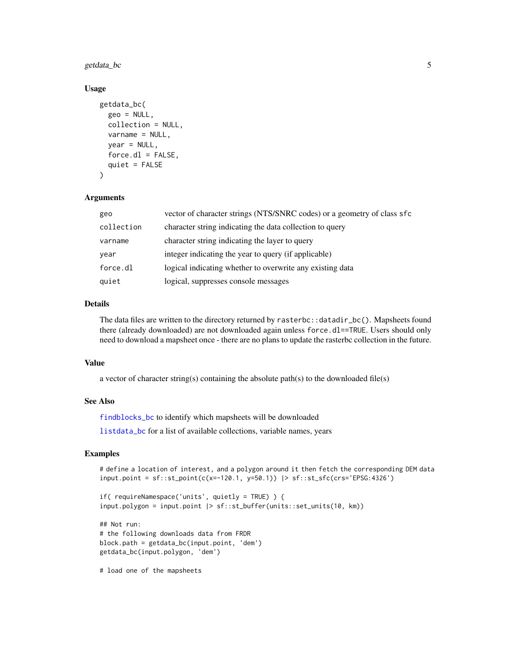<span id="page-4-0"></span>getdata\_bc 5

#### Usage

```
getdata_bc(
  geo = NULL,
  collection = NULL,
  varname = NULL,
  year = NULL,force.d1 = FALSE,
  quiet = FALSE
\lambda
```
#### Arguments

| geo        | vector of character strings (NTS/SNRC codes) or a geometry of class sfc |
|------------|-------------------------------------------------------------------------|
| collection | character string indicating the data collection to query                |
| varname    | character string indicating the layer to query                          |
| year       | integer indicating the year to query (if applicable)                    |
| force.dl   | logical indicating whether to overwrite any existing data               |
| quiet      | logical, suppresses console messages                                    |

#### Details

The data files are written to the directory returned by rasterbc::datadir\_bc(). Mapsheets found there (already downloaded) are not downloaded again unless force.dl==TRUE. Users should only need to download a mapsheet once - there are no plans to update the rasterbc collection in the future.

#### Value

a vector of character string(s) containing the absolute path(s) to the downloaded file(s)

#### See Also

[findblocks\\_bc](#page-2-1) to identify which mapsheets will be downloaded

[listdata\\_bc](#page-5-1) for a list of available collections, variable names, years

### Examples

```
# define a location of interest, and a polygon around it then fetch the corresponding DEM data
input.point = sf::st_point(c(x=-120.1, y=50.1)) |> sf::st_sfc(crs='EPSG:4326')
```

```
if( requireNamespace('units', quietly = TRUE) ) {
input.polygon = input.point |> sf::st_buffer(units::set_units(10, km))
```

```
## Not run:
# the following downloads data from FRDR
block.path = getdata_bc(input.point, 'dem')
getdata_bc(input.polygon, 'dem')
```
# load one of the mapsheets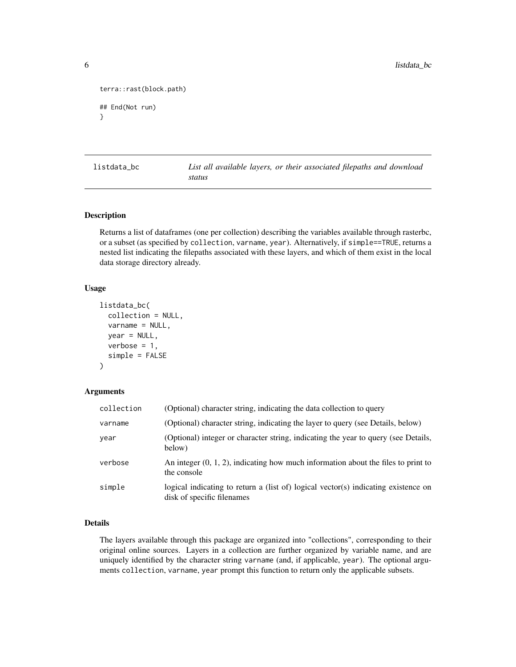```
terra::rast(block.path)
## End(Not run)
}
```
<span id="page-5-1"></span>listdata\_bc *List all available layers, or their associated filepaths and download status*

#### Description

Returns a list of dataframes (one per collection) describing the variables available through rasterbc, or a subset (as specified by collection, varname, year). Alternatively, if simple==TRUE, returns a nested list indicating the filepaths associated with these layers, and which of them exist in the local data storage directory already.

#### Usage

```
listdata_bc(
  collection = NULL,
  varname = NULL,
  year = NULL,
  verbose = 1,
  simple = FALSE
\mathcal{L}
```
#### Arguments

| collection | (Optional) character string, indicating the data collection to query                                             |
|------------|------------------------------------------------------------------------------------------------------------------|
| varname    | (Optional) character string, indicating the layer to query (see Details, below)                                  |
| year       | (Optional) integer or character string, indicating the year to query (see Details,<br>below)                     |
| verbose    | An integer $(0, 1, 2)$ , indicating how much information about the files to print to<br>the console              |
| simple     | logical indicating to return a (list of) logical vector(s) indicating existence on<br>disk of specific filenames |

#### Details

The layers available through this package are organized into "collections", corresponding to their original online sources. Layers in a collection are further organized by variable name, and are uniquely identified by the character string varname (and, if applicable, year). The optional arguments collection, varname, year prompt this function to return only the applicable subsets.

<span id="page-5-0"></span>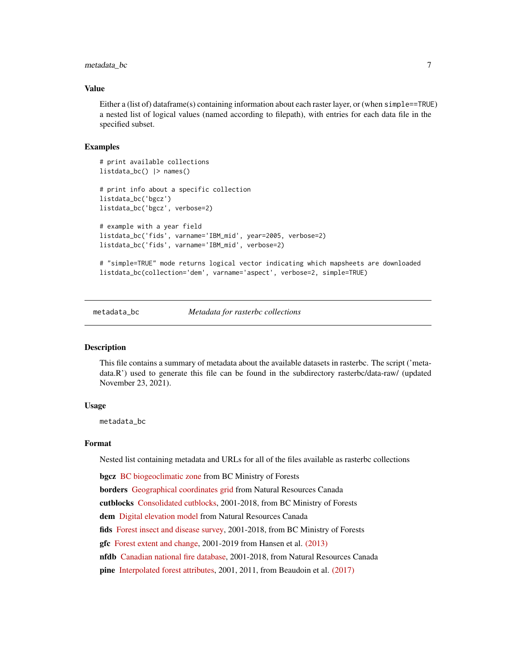#### <span id="page-6-0"></span>metadata\_bc 7

#### Value

Either a (list of) dataframe(s) containing information about each raster layer, or (when simple==TRUE) a nested list of logical values (named according to filepath), with entries for each data file in the specified subset.

#### Examples

```
# print available collections
listdata_bc() |> names()
# print info about a specific collection
listdata_bc('bgcz')
listdata_bc('bgcz', verbose=2)
# example with a year field
listdata_bc('fids', varname='IBM_mid', year=2005, verbose=2)
listdata_bc('fids', varname='IBM_mid', verbose=2)
# "simple=TRUE" mode returns logical vector indicating which mapsheets are downloaded
listdata_bc(collection='dem', varname='aspect', verbose=2, simple=TRUE)
```
metadata\_bc *Metadata for rasterbc collections*

#### **Description**

This file contains a summary of metadata about the available datasets in rasterbc. The script ('metadata.R') used to generate this file can be found in the subdirectory rasterbc/data-raw/ (updated November 23, 2021).

#### Usage

metadata\_bc

#### Format

Nested list containing metadata and URLs for all of the files available as rasterbc collections

bgcz [BC biogeoclimatic zone](https://github.com/deankoch/rasterbc_src/blob/master/src_bgcz.knit.md) from BC Ministry of Forests

borders [Geographical coordinates grid](https://github.com/deankoch/rasterbc_src/blob/master/src_borders.knit.md) from Natural Resources Canada

cutblocks [Consolidated cutblocks,](https://github.com/deankoch/rasterbc_src/blob/master/src_cutblocks.knit.md) 2001-2018, from BC Ministry of Forests

dem [Digital elevation model](https://github.com/deankoch/rasterbc_src/blob/master/src_dem.knit.md) from Natural Resources Canada

fids [Forest insect and disease survey,](https://github.com/deankoch/rasterbc_src/blob/master/src_fids.knit.md) 2001-2018, from BC Ministry of Forests

gfc [Forest extent and change,](https://github.com/deankoch/rasterbc_src/blob/master/src_gfc.knit.md) 2001-2019 from Hansen et al. [\(2013\)](https://cdnsciencepub.com/doi/full/10.1139/cjfr-2013-0401)

nfdb [Canadian national fire database,](https://github.com/deankoch/rasterbc_src/blob/master/src_nfdb.knit.md) 2001-2018, from Natural Resources Canada

pine [Interpolated forest attributes,](https://github.com/deankoch/rasterbc_src/blob/master/src_pine.knit.md) 2001, 2011, from Beaudoin et al. [\(2017\)](https://cdnsciencepub.com/doi/full/10.1139/cjfr-2017-0184)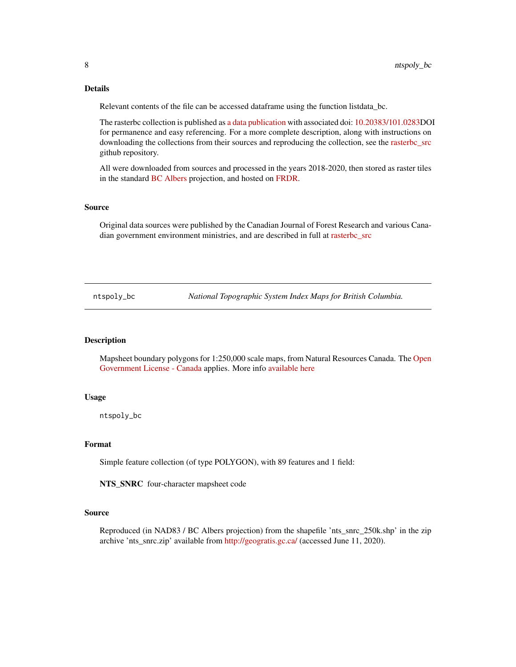#### Details

Relevant contents of the file can be accessed dataframe using the function listdata\_bc.

The rasterbc collection is published as [a data publication](https://www.frdr-dfdr.ca/repo/handle/doi:10.20383/101.0283) with associated doi: [10.20383/101.0283D](https://doi.org/10.20383/101.0283)OI for permanence and easy referencing. For a more complete description, along with instructions on downloading the collections from their sources and reproducing the collection, see the [rasterbc\\_src](https://github.com/deankoch/rasterbc_src) github repository.

All were downloaded from sources and processed in the years 2018-2020, then stored as raster tiles in the standard [BC Albers](https://spatialreference.org/ref/epsg/nad83-bc-albers/) projection, and hosted on [FRDR.](https://www.frdr-dfdr.ca/repo/)

#### Source

Original data sources were published by the Canadian Journal of Forest Research and various Canadian government environment ministries, and are described in full at [rasterbc\\_src](https://github.com/deankoch/rasterbc_src)

ntspoly\_bc *National Topographic System Index Maps for British Columbia.*

#### Description

Mapsheet boundary polygons for 1:250,000 scale maps, from Natural Resources Canada. The [Open](https://open.canada.ca/en/open-government-licence-canada) [Government License - Canada](https://open.canada.ca/en/open-government-licence-canada) applies. More info [available here](https://www.nrcan.gc.ca/earth-sciences/geography/topographic-information/maps/9765)

#### Usage

ntspoly\_bc

#### Format

Simple feature collection (of type POLYGON), with 89 features and 1 field:

NTS\_SNRC four-character mapsheet code

#### Source

Reproduced (in NAD83 / BC Albers projection) from the shapefile 'nts\_snrc\_250k.shp' in the zip archive 'nts\_snrc.zip' available from [http://geogratis.gc.ca/](https://ftp.maps.canada.ca/pub/nrcan_rncan/vector/index/) (accessed June 11, 2020).

<span id="page-7-0"></span>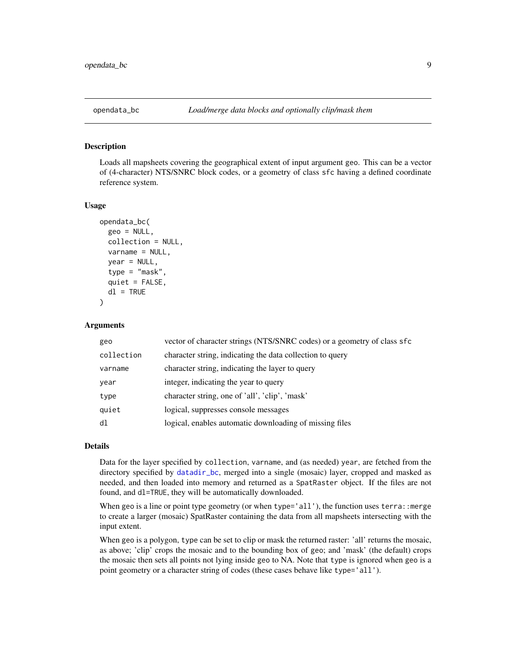<span id="page-8-0"></span>

#### Description

Loads all mapsheets covering the geographical extent of input argument geo. This can be a vector of (4-character) NTS/SNRC block codes, or a geometry of class sfc having a defined coordinate reference system.

#### Usage

```
opendata_bc(
  geo = NULL,collection = NULL,
  varname = NULL,
  year = NULL,
  type = "mask",
  quiet = FALSE,dl = TRUE)
```
Arguments

| geo        | vector of character strings (NTS/SNRC codes) or a geometry of class sfc |
|------------|-------------------------------------------------------------------------|
| collection | character string, indicating the data collection to query               |
| varname    | character string, indicating the layer to query                         |
| year       | integer, indicating the year to query                                   |
| type       | character string, one of 'all', 'clip', 'mask'                          |
| quiet      | logical, suppresses console messages                                    |
| dl         | logical, enables automatic downloading of missing files                 |

#### Details

Data for the layer specified by collection, varname, and (as needed) year, are fetched from the directory specified by [datadir\\_bc](#page-1-1), merged into a single (mosaic) layer, cropped and masked as needed, and then loaded into memory and returned as a SpatRaster object. If the files are not found, and dl=TRUE, they will be automatically downloaded.

When geo is a line or point type geometry (or when type='all'), the function uses terra::merge to create a larger (mosaic) SpatRaster containing the data from all mapsheets intersecting with the input extent.

When geo is a polygon, type can be set to clip or mask the returned raster: 'all' returns the mosaic, as above; 'clip' crops the mosaic and to the bounding box of geo; and 'mask' (the default) crops the mosaic then sets all points not lying inside geo to NA. Note that type is ignored when geo is a point geometry or a character string of codes (these cases behave like type='all').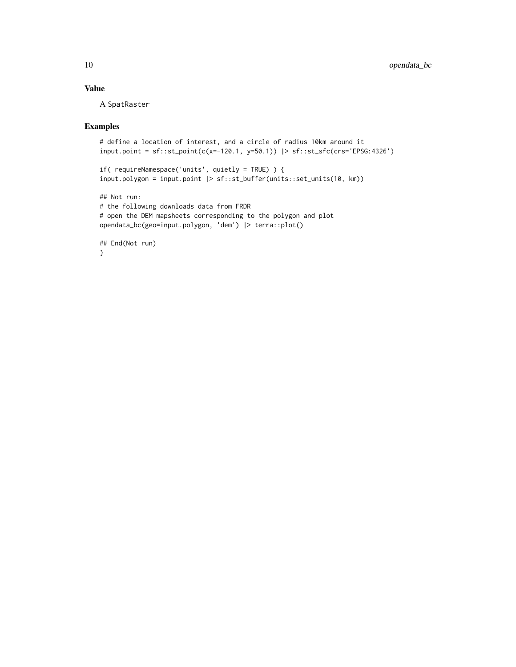## Value

A SpatRaster

### Examples

```
# define a location of interest, and a circle of radius 10km around it
input.point = sf::st_point(c(x=-120.1, y=50.1)) |> sf::st_sfc(crs='EPSG:4326')
if( requireNamespace('units', quietly = TRUE) ) {
input.polygon = input.point |> sf::st_buffer(units::set_units(10, km))
## Not run:
# the following downloads data from FRDR
# open the DEM mapsheets corresponding to the polygon and plot
opendata_bc(geo=input.polygon, 'dem') |> terra::plot()
## End(Not run)
}
```